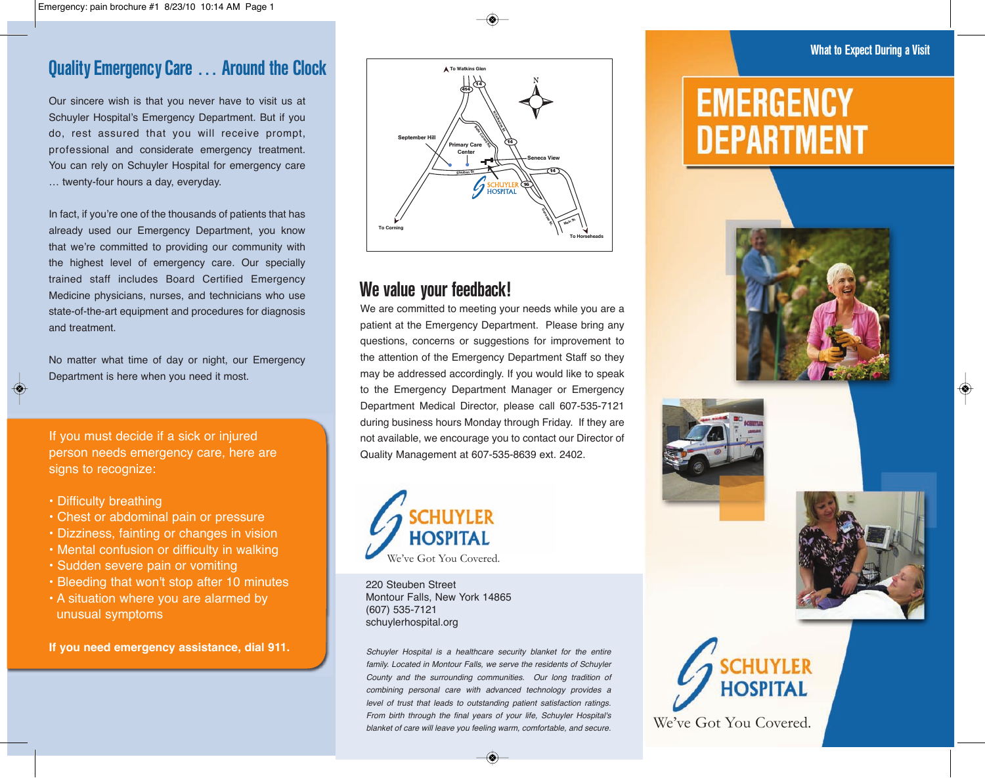#### Quality Emergency Care … Around the Clock

Our sincere wish is that you never have to visit us at Schuyler Hospital's Emergency Department. But if you do, rest assured that you will receive prompt, professional and considerate emergency treatment. You can rely on Schuyler Hospital for emergency care … twenty-four hours a day, everyday.

In fact, if you're one of the thousands of patients that has already used our Emergency Department, you know that we're committed to providing our community with the highest level of emergency care. Our specially trained staff includes Board Certified Emergency Medicine physicians, nurses, and technicians who use state-of-the-art equipment and procedures for diagnosis and treatment.

No matter what time of day or night, our Emergency Department is here when you need it most.

If you must decide if a sick or injured person needs emergency care, here are signs to recognize:

• Difficulty breathing

◈

- Chest or abdominal pain or pressure
- Dizziness, fainting or changes in vision
- Mental confusion or difficulty in walking
- Sudden severe pain or vomiting
- Bleeding that won't stop after 10 minutes
- A situation where you are alarmed by unusual symptoms

**If you need emergency assistance, dial 911.**



#### We value your feedback!

We are committed to meeting your needs while you are a patient at the Emergency Department. Please bring any questions, concerns or suggestions for improvement to the attention of the Emergency Department Staff so they may be addressed accordingly. If you would like to speak to the Emergency Department Manager or Emergency Department Medical Director, please call 607-535-7121 during business hours Monday through Friday. If they are not available, we encourage you to contact our Director of Quality Management at 607-535-8639 ext. 2402.



220 Steuben Street Montour Falls, New York 14865 (607) 535-7121 schuylerhospital.org

Schuyler Hospital is a healthcare security blanket for the entire family. Located in Montour Falls, we serve the residents of Schuyler County and the surrounding communities. Our long tradition of combining personal care with advanced technology provides a level of trust that leads to outstanding patient satisfaction ratings. From birth through the final years of your life, Schuyler Hospital's blanket of care will leave you feeling warm, comfortable, and secure.

# **EMERGENCY** DEPARTMENT







♦



We've Got You Covered.

#### What to Expect During a Visit